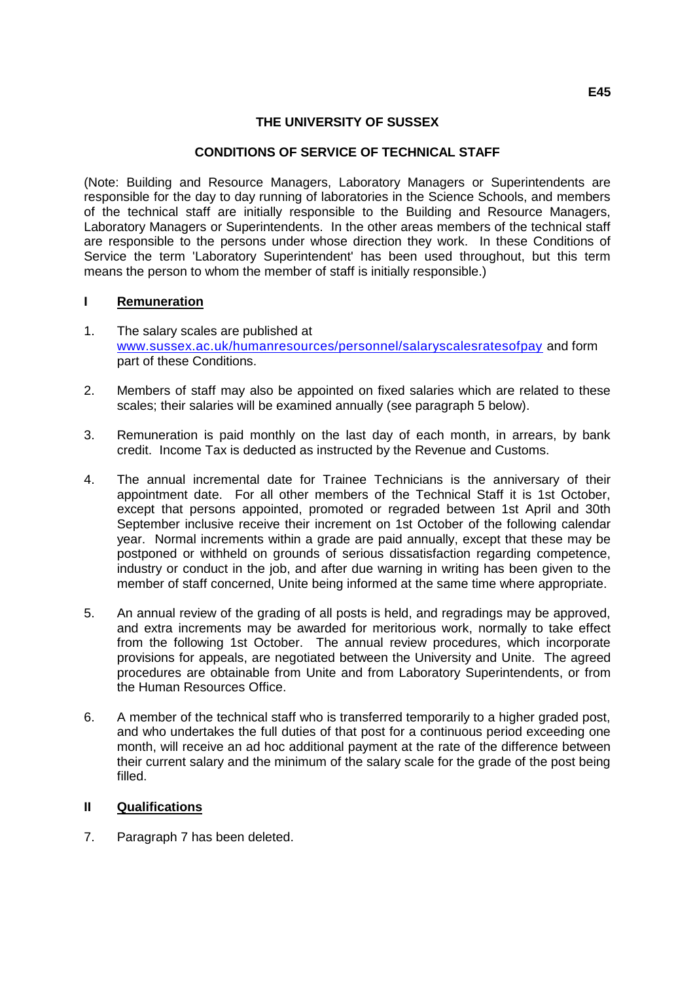### **THE UNIVERSITY OF SUSSEX**

### **CONDITIONS OF SERVICE OF TECHNICAL STAFF**

(Note: Building and Resource Managers, Laboratory Managers or Superintendents are responsible for the day to day running of laboratories in the Science Schools, and members of the technical staff are initially responsible to the Building and Resource Managers, Laboratory Managers or Superintendents. In the other areas members of the technical staff are responsible to the persons under whose direction they work. In these Conditions of Service the term 'Laboratory Superintendent' has been used throughout, but this term means the person to whom the member of staff is initially responsible.)

#### **I Remuneration**

- 1. The salary scales are published at [www.sussex.ac.uk/humanresources/personnel/salaryscalesratesofpay](http://www.sussex.ac.uk/humanresources/personnel/salaryscalesratesofpay) and form part of these Conditions.
- 2. Members of staff may also be appointed on fixed salaries which are related to these scales; their salaries will be examined annually (see paragraph 5 below).
- 3. Remuneration is paid monthly on the last day of each month, in arrears, by bank credit. Income Tax is deducted as instructed by the Revenue and Customs.
- 4. The annual incremental date for Trainee Technicians is the anniversary of their appointment date. For all other members of the Technical Staff it is 1st October, except that persons appointed, promoted or regraded between 1st April and 30th September inclusive receive their increment on 1st October of the following calendar year. Normal increments within a grade are paid annually, except that these may be postponed or withheld on grounds of serious dissatisfaction regarding competence, industry or conduct in the job, and after due warning in writing has been given to the member of staff concerned, Unite being informed at the same time where appropriate.
- 5. An annual review of the grading of all posts is held, and regradings may be approved, and extra increments may be awarded for meritorious work, normally to take effect from the following 1st October. The annual review procedures, which incorporate provisions for appeals, are negotiated between the University and Unite. The agreed procedures are obtainable from Unite and from Laboratory Superintendents, or from the Human Resources Office.
- 6. A member of the technical staff who is transferred temporarily to a higher graded post, and who undertakes the full duties of that post for a continuous period exceeding one month, will receive an ad hoc additional payment at the rate of the difference between their current salary and the minimum of the salary scale for the grade of the post being filled.

#### **II Qualifications**

7. Paragraph 7 has been deleted.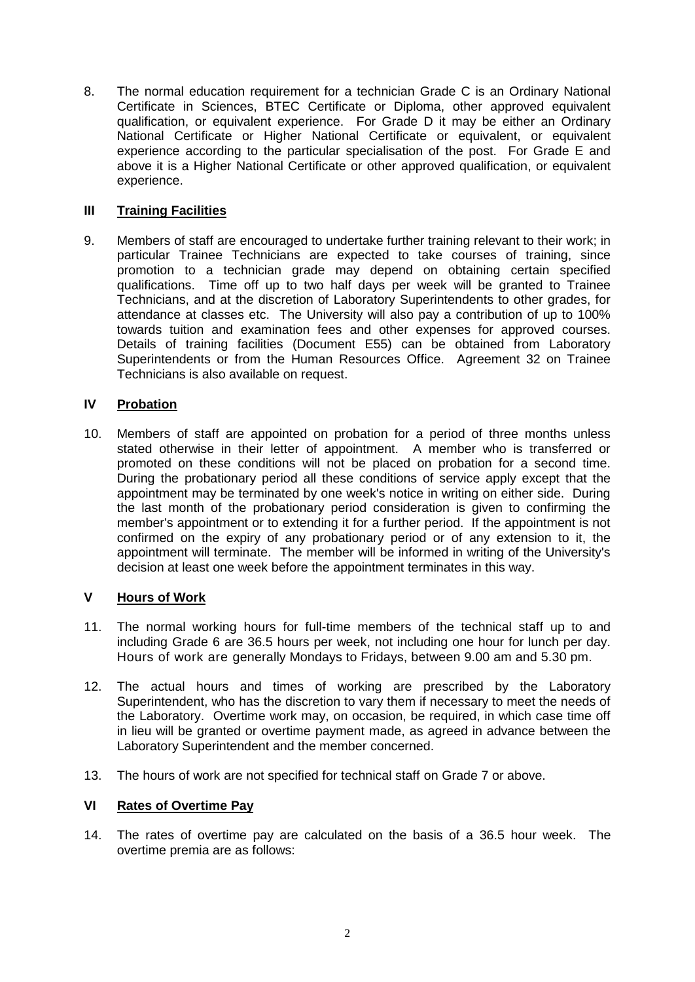8. The normal education requirement for a technician Grade C is an Ordinary National Certificate in Sciences, BTEC Certificate or Diploma, other approved equivalent qualification, or equivalent experience. For Grade D it may be either an Ordinary National Certificate or Higher National Certificate or equivalent, or equivalent experience according to the particular specialisation of the post. For Grade E and above it is a Higher National Certificate or other approved qualification, or equivalent experience.

# **III Training Facilities**

9. Members of staff are encouraged to undertake further training relevant to their work; in particular Trainee Technicians are expected to take courses of training, since promotion to a technician grade may depend on obtaining certain specified qualifications. Time off up to two half days per week will be granted to Trainee Technicians, and at the discretion of Laboratory Superintendents to other grades, for attendance at classes etc. The University will also pay a contribution of up to 100% towards tuition and examination fees and other expenses for approved courses. Details of training facilities (Document E55) can be obtained from Laboratory Superintendents or from the Human Resources Office. Agreement 32 on Trainee Technicians is also available on request.

# **IV Probation**

10. Members of staff are appointed on probation for a period of three months unless stated otherwise in their letter of appointment. A member who is transferred or promoted on these conditions will not be placed on probation for a second time. During the probationary period all these conditions of service apply except that the appointment may be terminated by one week's notice in writing on either side. During the last month of the probationary period consideration is given to confirming the member's appointment or to extending it for a further period. If the appointment is not confirmed on the expiry of any probationary period or of any extension to it, the appointment will terminate. The member will be informed in writing of the University's decision at least one week before the appointment terminates in this way.

# **V Hours of Work**

- 11. The normal working hours for full-time members of the technical staff up to and including Grade 6 are 36.5 hours per week, not including one hour for lunch per day. Hours of work are generally Mondays to Fridays, between 9.00 am and 5.30 pm.
- 12. The actual hours and times of working are prescribed by the Laboratory Superintendent, who has the discretion to vary them if necessary to meet the needs of the Laboratory. Overtime work may, on occasion, be required, in which case time off in lieu will be granted or overtime payment made, as agreed in advance between the Laboratory Superintendent and the member concerned.
- 13. The hours of work are not specified for technical staff on Grade 7 or above.

# **VI Rates of Overtime Pay**

14. The rates of overtime pay are calculated on the basis of a 36.5 hour week. The overtime premia are as follows: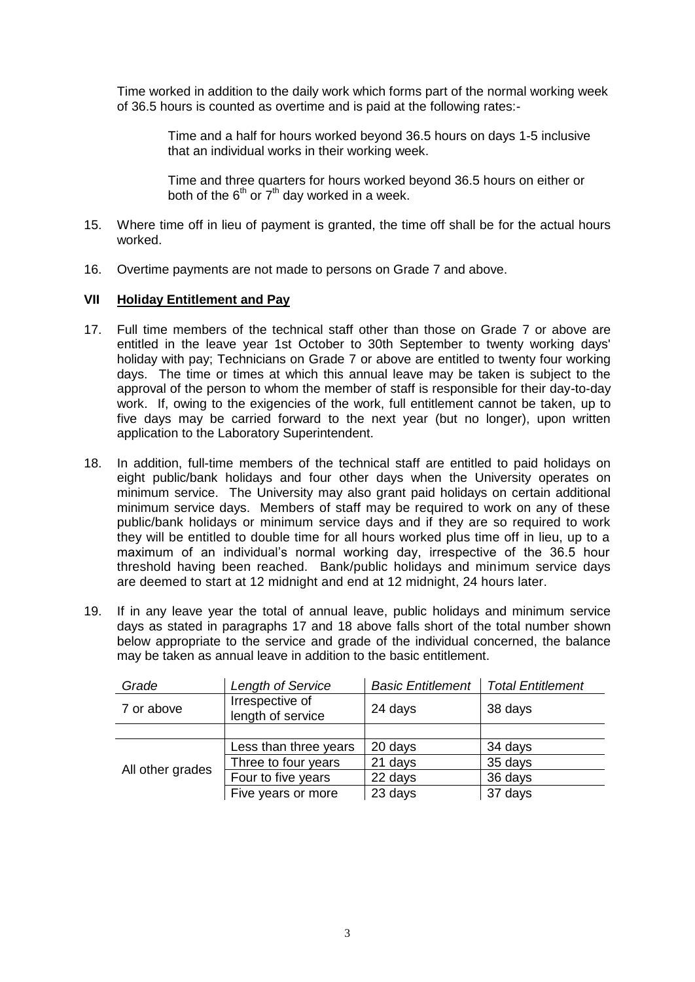Time worked in addition to the daily work which forms part of the normal working week of 36.5 hours is counted as overtime and is paid at the following rates:-

> Time and a half for hours worked beyond 36.5 hours on days 1-5 inclusive that an individual works in their working week.

Time and three quarters for hours worked beyond 36.5 hours on either or both of the  $6<sup>th</sup>$  or  $7<sup>th</sup>$  day worked in a week.

- 15. Where time off in lieu of payment is granted, the time off shall be for the actual hours worked.
- 16. Overtime payments are not made to persons on Grade 7 and above.

### **VII Holiday Entitlement and Pay**

- 17. Full time members of the technical staff other than those on Grade 7 or above are entitled in the leave year 1st October to 30th September to twenty working days' holiday with pay; Technicians on Grade 7 or above are entitled to twenty four working days. The time or times at which this annual leave may be taken is subject to the approval of the person to whom the member of staff is responsible for their day-to-day work. If, owing to the exigencies of the work, full entitlement cannot be taken, up to five days may be carried forward to the next year (but no longer), upon written application to the Laboratory Superintendent.
- 18. In addition, full-time members of the technical staff are entitled to paid holidays on eight public/bank holidays and four other days when the University operates on minimum service. The University may also grant paid holidays on certain additional minimum service days. Members of staff may be required to work on any of these public/bank holidays or minimum service days and if they are so required to work they will be entitled to double time for all hours worked plus time off in lieu, up to a maximum of an individual's normal working day, irrespective of the 36.5 hour threshold having been reached. Bank/public holidays and minimum service days are deemed to start at 12 midnight and end at 12 midnight, 24 hours later.
- 19. If in any leave year the total of annual leave, public holidays and minimum service days as stated in paragraphs 17 and 18 above falls short of the total number shown below appropriate to the service and grade of the individual concerned, the balance may be taken as annual leave in addition to the basic entitlement.

| Grade            | Length of Service                    | <b>Basic Entitlement</b> | <b>Total Entitlement</b> |
|------------------|--------------------------------------|--------------------------|--------------------------|
| 7 or above       | Irrespective of<br>length of service | 24 days                  | 38 days                  |
|                  |                                      |                          |                          |
| All other grades | Less than three years                | 20 days                  | 34 days                  |
|                  | Three to four years                  | 21 days                  | 35 days                  |
|                  | Four to five years                   | 22 days                  | 36 days                  |
|                  | Five years or more                   | 23 days                  | 37 days                  |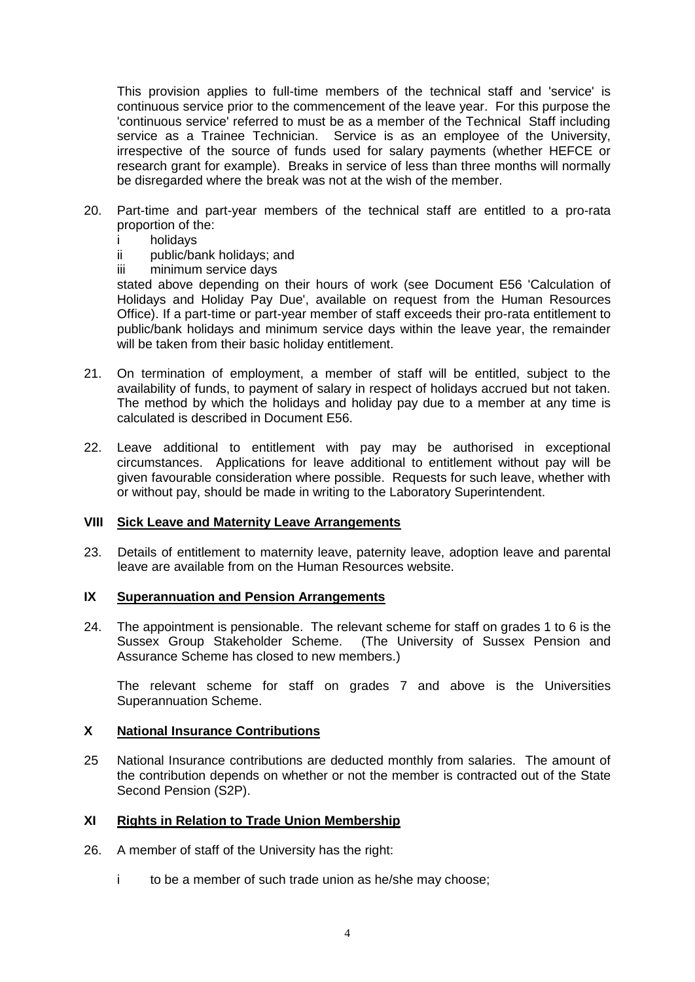This provision applies to full-time members of the technical staff and 'service' is continuous service prior to the commencement of the leave year. For this purpose the 'continuous service' referred to must be as a member of the Technical Staff including service as a Trainee Technician. Service is as an employee of the University, irrespective of the source of funds used for salary payments (whether HEFCE or research grant for example). Breaks in service of less than three months will normally be disregarded where the break was not at the wish of the member.

- 20. Part-time and part-year members of the technical staff are entitled to a pro-rata proportion of the:
	- i holidays
	- ii public/bank holidays; and
	- iii minimum service days

stated above depending on their hours of work (see Document E56 'Calculation of Holidays and Holiday Pay Due', available on request from the Human Resources Office). If a part-time or part-year member of staff exceeds their pro-rata entitlement to public/bank holidays and minimum service days within the leave year, the remainder will be taken from their basic holiday entitlement.

- 21. On termination of employment, a member of staff will be entitled, subject to the availability of funds, to payment of salary in respect of holidays accrued but not taken. The method by which the holidays and holiday pay due to a member at any time is calculated is described in Document E56.
- 22. Leave additional to entitlement with pay may be authorised in exceptional circumstances. Applications for leave additional to entitlement without pay will be given favourable consideration where possible. Requests for such leave, whether with or without pay, should be made in writing to the Laboratory Superintendent.

#### **VIII Sick Leave and Maternity Leave Arrangements**

23. Details of entitlement to maternity leave, paternity leave, adoption leave and parental leave are available from on the Human Resources website.

#### **IX Superannuation and Pension Arrangements**

24. The appointment is pensionable. The relevant scheme for staff on grades 1 to 6 is the Sussex Group Stakeholder Scheme. (The University of Sussex Pension and Assurance Scheme has closed to new members.)

The relevant scheme for staff on grades 7 and above is the Universities Superannuation Scheme.

#### **X National Insurance Contributions**

25 National Insurance contributions are deducted monthly from salaries. The amount of the contribution depends on whether or not the member is contracted out of the State Second Pension (S2P).

#### **XI Rights in Relation to Trade Union Membership**

- 26. A member of staff of the University has the right:
	- i to be a member of such trade union as he/she may choose;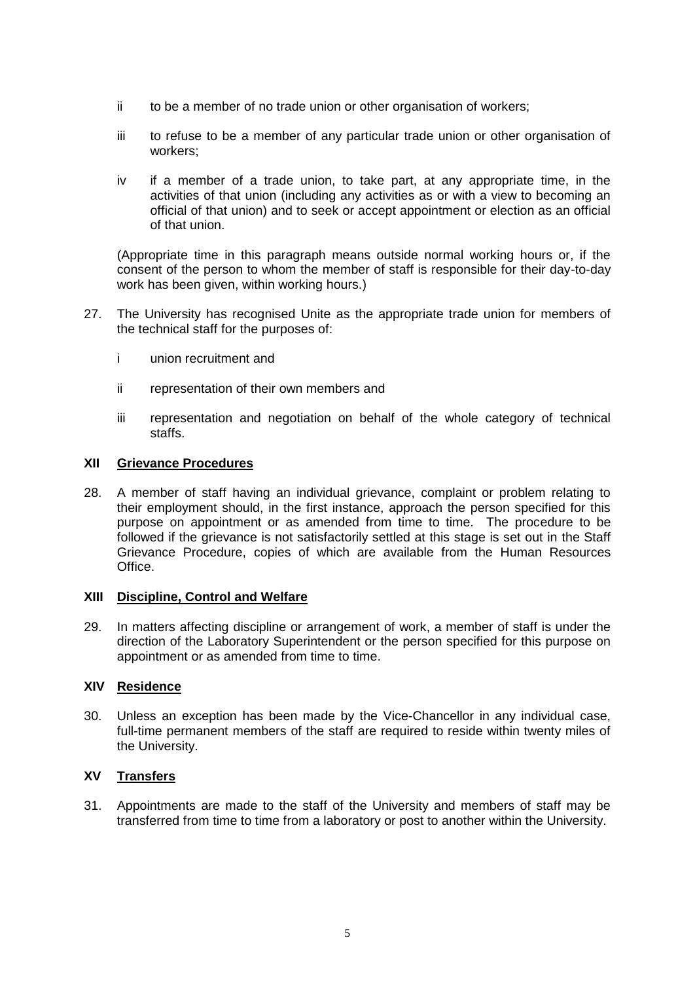- ii to be a member of no trade union or other organisation of workers;
- iii to refuse to be a member of any particular trade union or other organisation of workers;
- iv if a member of a trade union, to take part, at any appropriate time, in the activities of that union (including any activities as or with a view to becoming an official of that union) and to seek or accept appointment or election as an official of that union.

(Appropriate time in this paragraph means outside normal working hours or, if the consent of the person to whom the member of staff is responsible for their day-to-day work has been given, within working hours.)

- 27. The University has recognised Unite as the appropriate trade union for members of the technical staff for the purposes of:
	- i union recruitment and
	- ii representation of their own members and
	- iii representation and negotiation on behalf of the whole category of technical staffs.

# **XII Grievance Procedures**

28. A member of staff having an individual grievance, complaint or problem relating to their employment should, in the first instance, approach the person specified for this purpose on appointment or as amended from time to time. The procedure to be followed if the grievance is not satisfactorily settled at this stage is set out in the Staff Grievance Procedure, copies of which are available from the Human Resources Office.

# **XIII Discipline, Control and Welfare**

29. In matters affecting discipline or arrangement of work, a member of staff is under the direction of the Laboratory Superintendent or the person specified for this purpose on appointment or as amended from time to time.

# **XIV Residence**

30. Unless an exception has been made by the Vice-Chancellor in any individual case, full-time permanent members of the staff are required to reside within twenty miles of the University.

# **XV Transfers**

31. Appointments are made to the staff of the University and members of staff may be transferred from time to time from a laboratory or post to another within the University.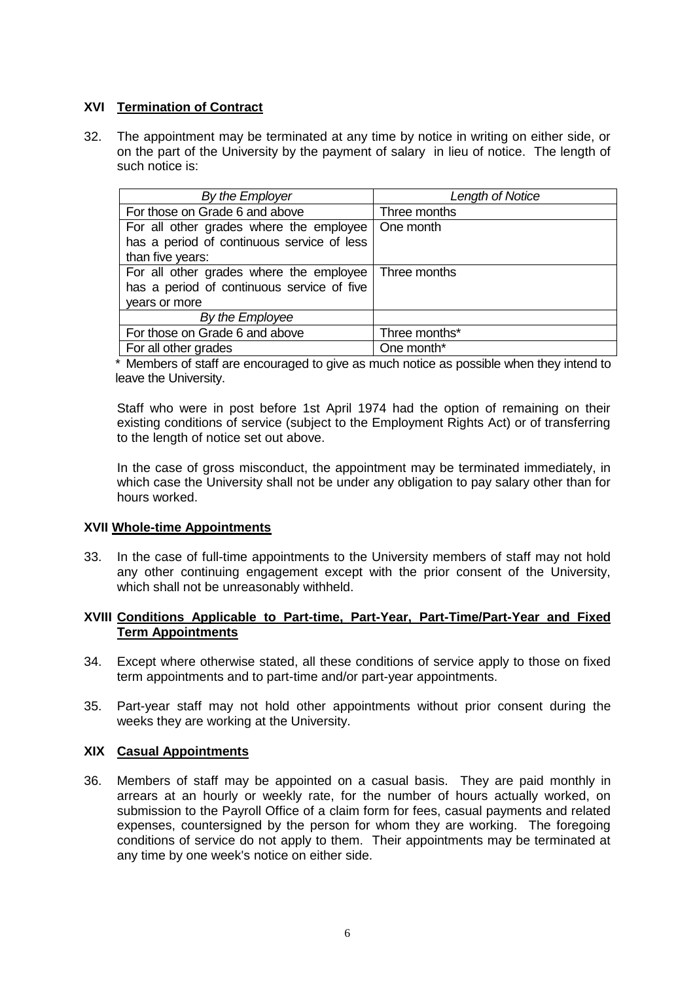# **XVI Termination of Contract**

32. The appointment may be terminated at any time by notice in writing on either side, or on the part of the University by the payment of salary in lieu of notice. The length of such notice is:

| By the Employer                            | Length of Notice |  |
|--------------------------------------------|------------------|--|
| For those on Grade 6 and above             | Three months     |  |
| For all other grades where the employee    | One month        |  |
| has a period of continuous service of less |                  |  |
| than five years:                           |                  |  |
| For all other grades where the employee    | Three months     |  |
| has a period of continuous service of five |                  |  |
| years or more                              |                  |  |
| By the Employee                            |                  |  |
| For those on Grade 6 and above             | Three months*    |  |
| For all other grades                       | One month*       |  |

\* Members of staff are encouraged to give as much notice as possible when they intend to leave the University.

Staff who were in post before 1st April 1974 had the option of remaining on their existing conditions of service (subject to the Employment Rights Act) or of transferring to the length of notice set out above.

In the case of gross misconduct, the appointment may be terminated immediately, in which case the University shall not be under any obligation to pay salary other than for hours worked.

# **XVII Whole-time Appointments**

33. In the case of full-time appointments to the University members of staff may not hold any other continuing engagement except with the prior consent of the University, which shall not be unreasonably withheld.

# **XVIII Conditions Applicable to Part-time, Part-Year, Part-Time/Part-Year and Fixed Term Appointments**

- 34. Except where otherwise stated, all these conditions of service apply to those on fixed term appointments and to part-time and/or part-year appointments.
- 35. Part-year staff may not hold other appointments without prior consent during the weeks they are working at the University.

#### **XIX Casual Appointments**

36. Members of staff may be appointed on a casual basis. They are paid monthly in arrears at an hourly or weekly rate, for the number of hours actually worked, on submission to the Payroll Office of a claim form for fees, casual payments and related expenses, countersigned by the person for whom they are working. The foregoing conditions of service do not apply to them. Their appointments may be terminated at any time by one week's notice on either side.